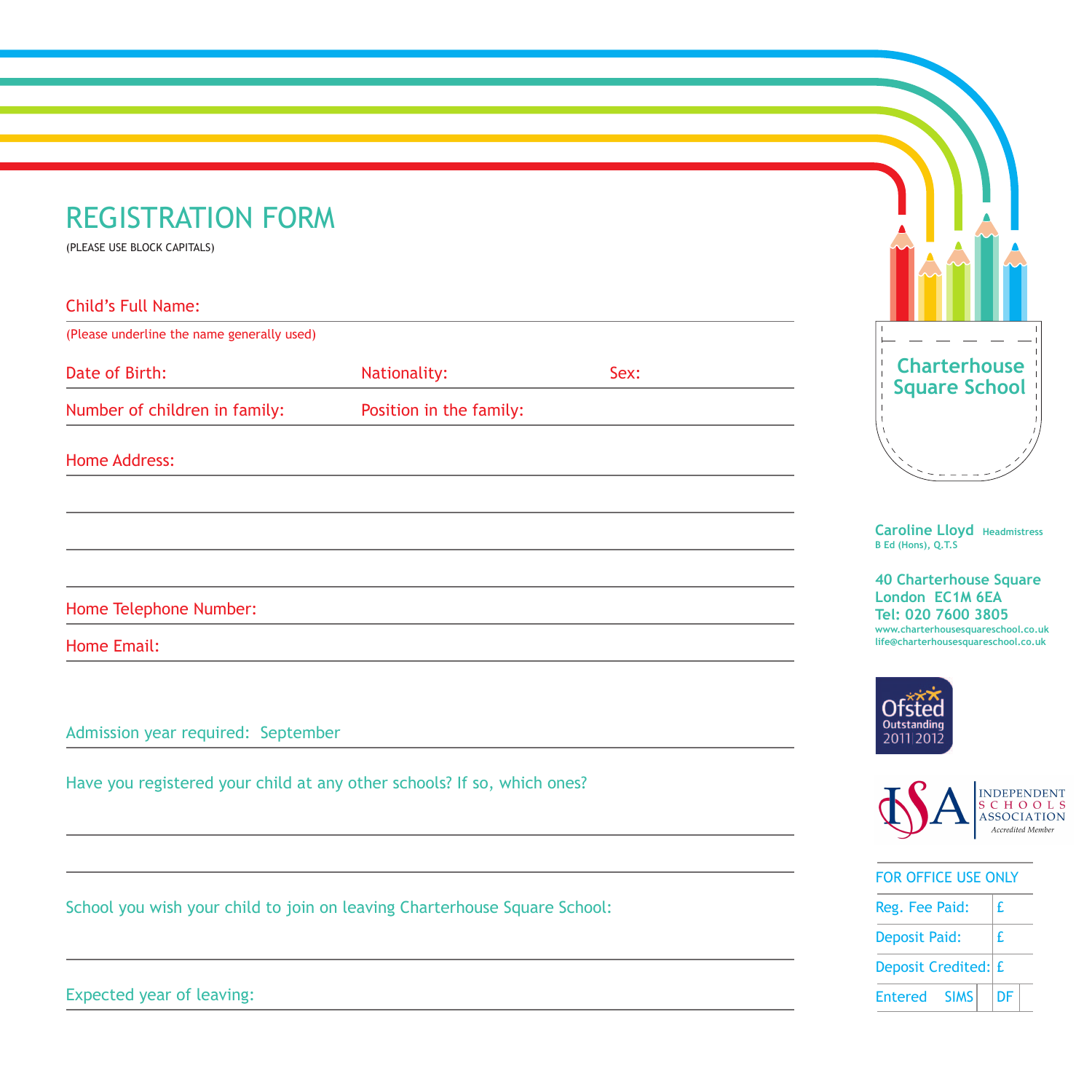## REGISTRATION FORM

(PLEASE USE BLOCK CAPITALS)

Child's Full Name:

| (Please underline the name generally used) |      |  |  |  |  |
|--------------------------------------------|------|--|--|--|--|
| Nationality:                               | Sex: |  |  |  |  |
| Position in the family:                    |      |  |  |  |  |
|                                            |      |  |  |  |  |
|                                            |      |  |  |  |  |
|                                            |      |  |  |  |  |
|                                            |      |  |  |  |  |

Home Telephone Number:

Home Email:

Admission year required: September

Have you registered your child at any other schools? If so, which ones?

School you wish your child to join on leaving Charterhouse Square School:

**Charterhouse Square School**  $\bar{1}$ 

**Caroline Lloyd Headmistress B Ed (Hons), Q.T.S**

**40 Charterhouse Square London EC1M 6EA Tel: 020 7600 3805 www.charterhousesquareschool.co.uk life@charterhousesquareschool.co.uk**





|  |  | <b>FOR OFFICE USE ONLY</b> |
|--|--|----------------------------|
|  |  |                            |



Expected year of leaving: